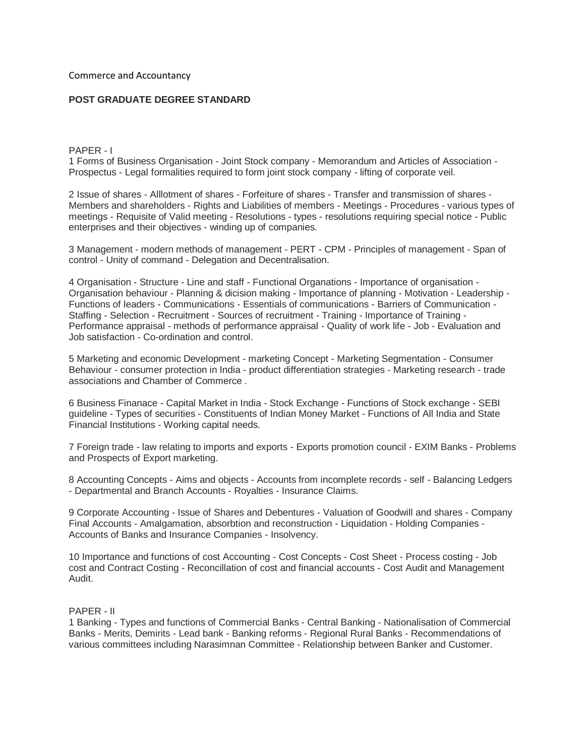Commerce and Accountancy

## **POST GRADUATE DEGREE STANDARD**

PAPER - I

1 Forms of Business Organisation - Joint Stock company - Memorandum and Articles of Association - Prospectus - Legal formalities required to form joint stock company - lifting of corporate veil.

2 Issue of shares - Alllotment of shares - Forfeiture of shares - Transfer and transmission of shares - Members and shareholders - Rights and Liabilities of members - Meetings - Procedures - various types of meetings - Requisite of Valid meeting - Resolutions - types - resolutions requiring special notice - Public enterprises and their objectives - winding up of companies.

3 Management - modern methods of management - PERT - CPM - Principles of management - Span of control - Unity of command - Delegation and Decentralisation.

4 Organisation - Structure - Line and staff - Functional Organations - Importance of organisation - Organisation behaviour - Planning & dicision making - Importance of planning - Motivation - Leadership - Functions of leaders - Communications - Essentials of communications - Barriers of Communication - Staffing - Selection - Recruitment - Sources of recruitment - Training - Importance of Training - Performance appraisal - methods of performance appraisal - Quality of work life - Job - Evaluation and Job satisfaction - Co-ordination and control.

5 Marketing and economic Development - marketing Concept - Marketing Segmentation - Consumer Behaviour - consumer protection in India - product differentiation strategies - Marketing research - trade associations and Chamber of Commerce .

6 Business Finanace - Capital Market in India - Stock Exchange - Functions of Stock exchange - SEBI guideline - Types of securities - Constituents of Indian Money Market - Functions of All India and State Financial Institutions - Working capital needs.

7 Foreign trade - law relating to imports and exports - Exports promotion council - EXIM Banks - Problems and Prospects of Export marketing.

8 Accounting Concepts - Aims and objects - Accounts from incomplete records - self - Balancing Ledgers - Departmental and Branch Accounts - Royalties - Insurance Claims.

9 Corporate Accounting - Issue of Shares and Debentures - Valuation of Goodwill and shares - Company Final Accounts - Amalgamation, absorbtion and reconstruction - Liquidation - Holding Companies - Accounts of Banks and Insurance Companies - Insolvency.

10 Importance and functions of cost Accounting - Cost Concepts - Cost Sheet - Process costing - Job cost and Contract Costing - Reconcillation of cost and financial accounts - Cost Audit and Management Audit.

## PAPER - II

1 Banking - Types and functions of Commercial Banks - Central Banking - Nationalisation of Commercial Banks - Merits, Demirits - Lead bank - Banking reforms - Regional Rural Banks - Recommendations of various committees including Narasimnan Committee - Relationship between Banker and Customer.